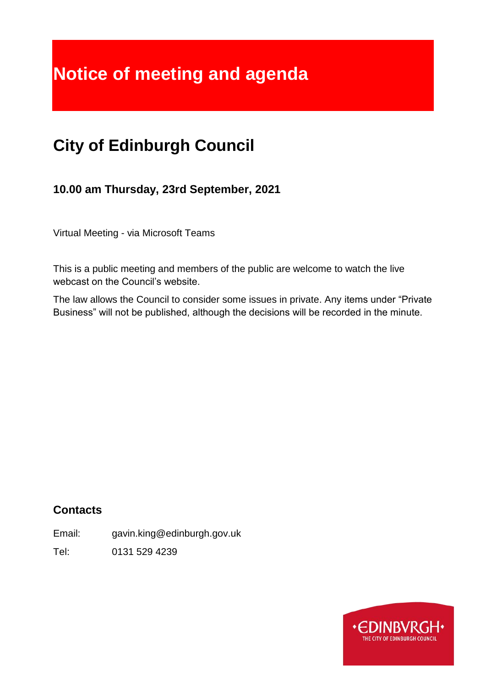# **Notice of meeting and agenda**

## **City of Edinburgh Council**

**10.00 am Thursday, 23rd September, 2021**

Virtual Meeting - via Microsoft Teams

This is a public meeting and members of the public are welcome to watch the live webcast on the Council's website.

The law allows the Council to consider some issues in private. Any items under "Private Business" will not be published, although the decisions will be recorded in the minute.

## **Contacts**

Email: gavin.king@edinburgh.gov.uk

Tel: 0131 529 4239

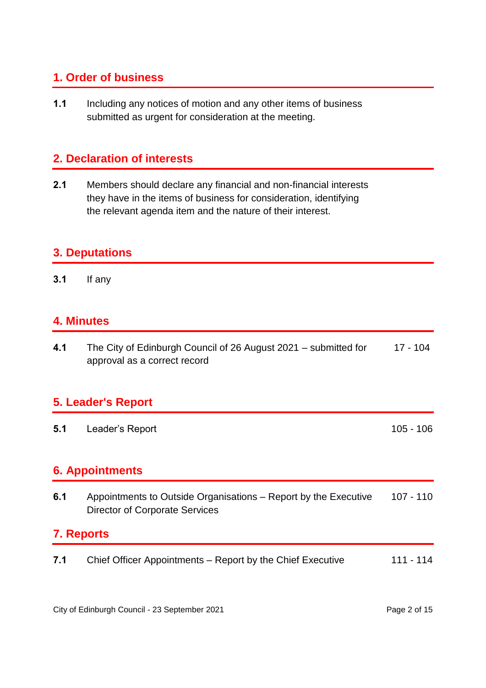## **1. Order of business**

**1.1** Including any notices of motion and any other items of business submitted as urgent for consideration at the meeting.

## **2. Declaration of interests**

**2.1** Members should declare any financial and non-financial interests they have in the items of business for consideration, identifying the relevant agenda item and the nature of their interest.

### **3. Deputations**

**3.1** If any

## **4. Minutes**

**4.1** The City of Edinburgh Council of 26 August 2021 – submitted for approval as a correct record 17 - 104

## **5. Leader's Report**

**5.1** Leader's Report 105 - 106

## **6. Appointments**

**6.1** Appointments to Outside Organisations – Report by the Executive Director of Corporate Services 107 - 110

## **7. Reports**

**7.1** Chief Officer Appointments – Report by the Chief Executive 111 - 114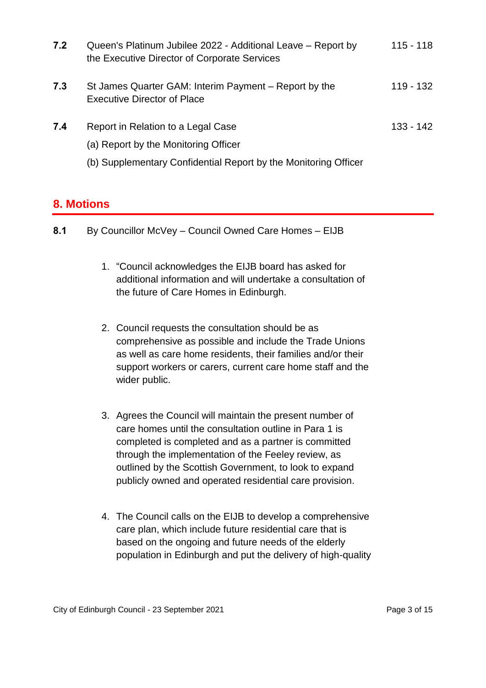| 7.2 | Queen's Platinum Jubilee 2022 - Additional Leave – Report by<br>the Executive Director of Corporate Services                                  | $115 - 118$ |
|-----|-----------------------------------------------------------------------------------------------------------------------------------------------|-------------|
| 7.3 | St James Quarter GAM: Interim Payment – Report by the<br><b>Executive Director of Place</b>                                                   | 119 - 132   |
| 7.4 | Report in Relation to a Legal Case<br>(a) Report by the Monitoring Officer<br>(b) Supplementary Confidential Report by the Monitoring Officer | 133 - 142   |

## **8. Motions**

- **8.1** By Councillor McVey Council Owned Care Homes EIJB
	- 1. "Council acknowledges the EIJB board has asked for additional information and will undertake a consultation of the future of Care Homes in Edinburgh.
	- 2. Council requests the consultation should be as comprehensive as possible and include the Trade Unions as well as care home residents, their families and/or their support workers or carers, current care home staff and the wider public.
	- 3. Agrees the Council will maintain the present number of care homes until the consultation outline in Para 1 is completed is completed and as a partner is committed through the implementation of the Feeley review, as outlined by the Scottish Government, to look to expand publicly owned and operated residential care provision.
	- 4. The Council calls on the EIJB to develop a comprehensive care plan, which include future residential care that is based on the ongoing and future needs of the elderly population in Edinburgh and put the delivery of high-quality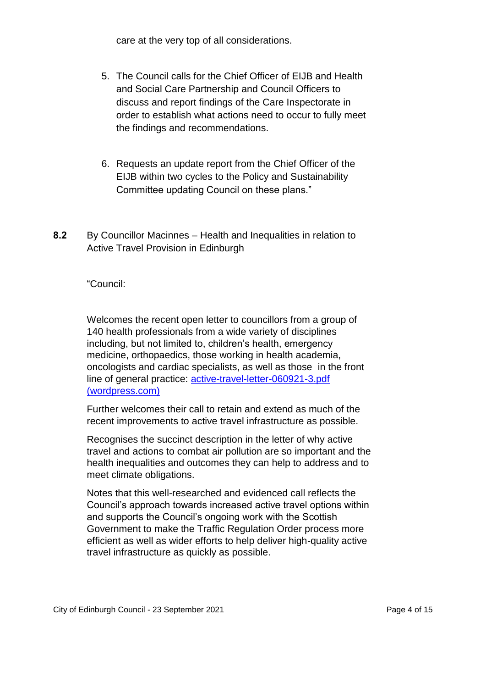care at the very top of all considerations.

- 5. The Council calls for the Chief Officer of EIJB and Health and Social Care Partnership and Council Officers to discuss and report findings of the Care Inspectorate in order to establish what actions need to occur to fully meet the findings and recommendations.
- 6. Requests an update report from the Chief Officer of the EIJB within two cycles to the Policy and Sustainability Committee updating Council on these plans."
- **8.2** By Councillor Macinnes Health and Inequalities in relation to Active Travel Provision in Edinburgh

"Council:

Welcomes the recent open letter to councillors from a group of 140 health professionals from a wide variety of disciplines including, but not limited to, children's health, emergency medicine, orthopaedics, those working in health academia, oncologists and cardiac specialists, as well as those in the front line of general practice: [active-travel-letter-060921-3.pdf](https://edinburghactivetravelforhealth.files.wordpress.com/2021/09/active-travel-letter-060921-3.pdf)  [\(wordpress.com\)](https://edinburghactivetravelforhealth.files.wordpress.com/2021/09/active-travel-letter-060921-3.pdf)

Further welcomes their call to retain and extend as much of the recent improvements to active travel infrastructure as possible.

Recognises the succinct description in the letter of why active travel and actions to combat air pollution are so important and the health inequalities and outcomes they can help to address and to meet climate obligations.

Notes that this well-researched and evidenced call reflects the Council's approach towards increased active travel options within and supports the Council's ongoing work with the Scottish Government to make the Traffic Regulation Order process more efficient as well as wider efforts to help deliver high-quality active travel infrastructure as quickly as possible.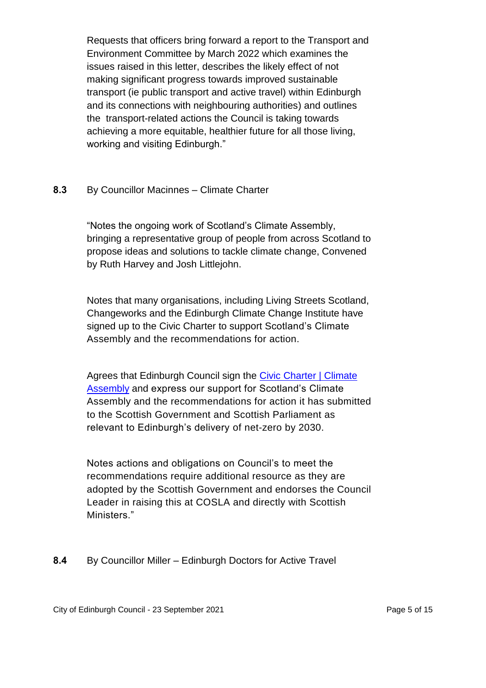Requests that officers bring forward a report to the Transport and Environment Committee by March 2022 which examines the issues raised in this letter, describes the likely effect of not making significant progress towards improved sustainable transport (ie public transport and active travel) within Edinburgh and its connections with neighbouring authorities) and outlines the transport-related actions the Council is taking towards achieving a more equitable, healthier future for all those living, working and visiting Edinburgh."

#### **8.3** By Councillor Macinnes – Climate Charter

"Notes the ongoing work of Scotland's Climate Assembly, bringing a representative group of people from across Scotland to propose ideas and solutions to tackle climate change, Convened by Ruth Harvey and Josh Littlejohn.

Notes that many organisations, including Living Streets Scotland, Changeworks and the Edinburgh Climate Change Institute have signed up to the Civic Charter to support Scotland's Climate Assembly and the recommendations for action.

Agrees that Edinburgh Council sign the [Civic Charter | Climate](https://www.climateassembly.scot/civiccharter)  [Assembly](https://www.climateassembly.scot/civiccharter) and express our support for Scotland's Climate Assembly and the recommendations for action it has submitted to the Scottish Government and Scottish Parliament as relevant to Edinburgh's delivery of net-zero by 2030.

Notes actions and obligations on Council's to meet the recommendations require additional resource as they are adopted by the Scottish Government and endorses the Council Leader in raising this at COSLA and directly with Scottish Ministers."

#### **8.4** By Councillor Miller – Edinburgh Doctors for Active Travel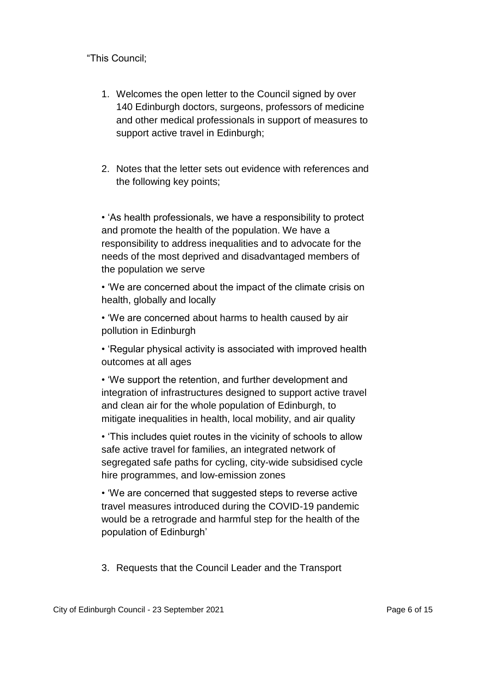"This Council;

- 1. Welcomes the open letter to the Council signed by over 140 Edinburgh doctors, surgeons, professors of medicine and other medical professionals in support of measures to support active travel in Edinburgh;
- 2. Notes that the letter sets out evidence with references and the following key points;

• 'As health professionals, we have a responsibility to protect and promote the health of the population. We have a responsibility to address inequalities and to advocate for the needs of the most deprived and disadvantaged members of the population we serve

• 'We are concerned about the impact of the climate crisis on health, globally and locally

• 'We are concerned about harms to health caused by air pollution in Edinburgh

• 'Regular physical activity is associated with improved health outcomes at all ages

• 'We support the retention, and further development and integration of infrastructures designed to support active travel and clean air for the whole population of Edinburgh, to mitigate inequalities in health, local mobility, and air quality

• 'This includes quiet routes in the vicinity of schools to allow safe active travel for families, an integrated network of segregated safe paths for cycling, city-wide subsidised cycle hire programmes, and low-emission zones

• 'We are concerned that suggested steps to reverse active travel measures introduced during the COVID-19 pandemic would be a retrograde and harmful step for the health of the population of Edinburgh'

3. Requests that the Council Leader and the Transport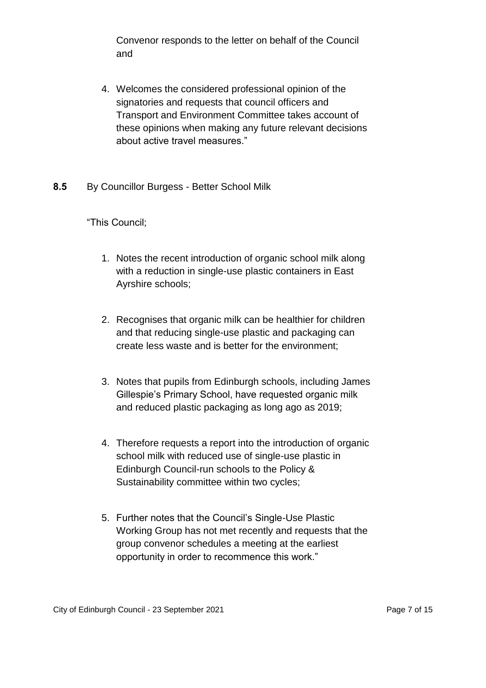Convenor responds to the letter on behalf of the Council and

- 4. Welcomes the considered professional opinion of the signatories and requests that council officers and Transport and Environment Committee takes account of these opinions when making any future relevant decisions about active travel measures."
- **8.5** By Councillor Burgess Better School Milk

"This Council;

- 1. Notes the recent introduction of organic school milk along with a reduction in single-use plastic containers in East Ayrshire schools;
- 2. Recognises that organic milk can be healthier for children and that reducing single-use plastic and packaging can create less waste and is better for the environment;
- 3. Notes that pupils from Edinburgh schools, including James Gillespie's Primary School, have requested organic milk and reduced plastic packaging as long ago as 2019;
- 4. Therefore requests a report into the introduction of organic school milk with reduced use of single-use plastic in Edinburgh Council-run schools to the Policy & Sustainability committee within two cycles;
- 5. Further notes that the Council's Single-Use Plastic Working Group has not met recently and requests that the group convenor schedules a meeting at the earliest opportunity in order to recommence this work."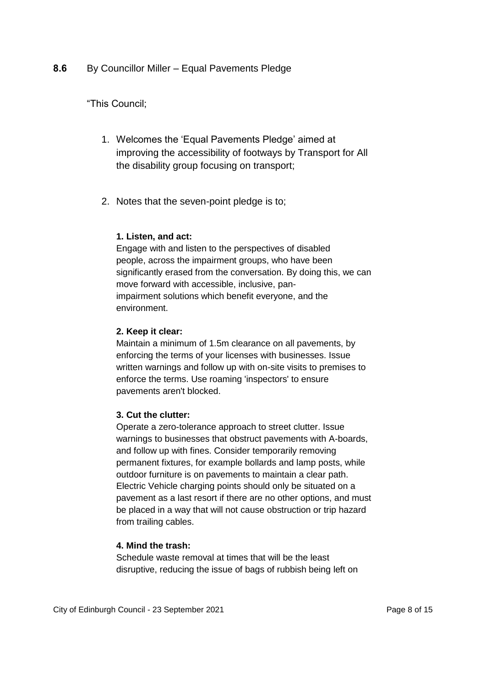#### **8.6** By Councillor Miller – Equal Pavements Pledge

#### "This Council;

- 1. Welcomes the 'Equal Pavements Pledge' aimed at improving the accessibility of footways by Transport for All the disability group focusing on transport;
- 2. Notes that the seven-point pledge is to;

#### **1. Listen, and act:**

Engage with and listen to the perspectives of disabled people, across the impairment groups, who have been significantly erased from the conversation. By doing this, we can move forward with accessible, inclusive, panimpairment solutions which benefit everyone, and the environment.

#### **2. Keep it clear:**

Maintain a minimum of 1.5m clearance on all pavements, by enforcing the terms of your licenses with businesses. Issue written warnings and follow up with on-site visits to premises to enforce the terms. Use roaming 'inspectors' to ensure pavements aren't blocked.

#### **3. Cut the clutter:**

Operate a zero-tolerance approach to street clutter. Issue warnings to businesses that obstruct pavements with A-boards, and follow up with fines. Consider temporarily removing permanent fixtures, for example bollards and lamp posts, while outdoor furniture is on pavements to maintain a clear path. Electric Vehicle charging points should only be situated on a pavement as a last resort if there are no other options, and must be placed in a way that will not cause obstruction or trip hazard from trailing cables.

#### **4. Mind the trash:**

Schedule waste removal at times that will be the least disruptive, reducing the issue of bags of rubbish being left on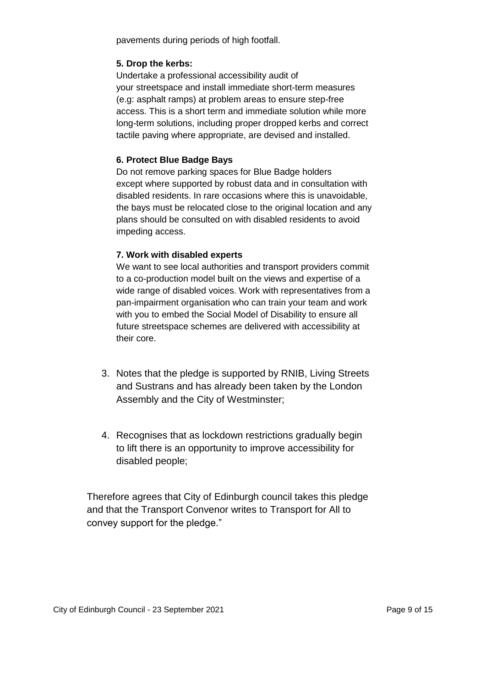pavements during periods of high footfall.

#### **5. Drop the kerbs:**

Undertake a professional accessibility audit of your streetspace and install immediate short-term measures (e.g: asphalt ramps) at problem areas to ensure step-free access. This is a short term and immediate solution while more long-term solutions, including proper dropped kerbs and correct tactile paving where appropriate, are devised and installed.

#### **6. Protect Blue Badge Bays**

Do not remove parking spaces for Blue Badge holders except where supported by robust data and in consultation with disabled residents. In rare occasions where this is unavoidable, the bays must be relocated close to the original location and any plans should be consulted on with disabled residents to avoid impeding access.

#### **7. Work with disabled experts**

We want to see local authorities and transport providers commit to a co-production model built on the views and expertise of a wide range of disabled voices. Work with representatives from a pan-impairment organisation who can train your team and work with you to embed the Social Model of Disability to ensure all future streetspace schemes are delivered with accessibility at their core.

- 3. Notes that the pledge is supported by RNIB, Living Streets and Sustrans and has already been taken by the London Assembly and the City of Westminster;
- 4. Recognises that as lockdown restrictions gradually begin to lift there is an opportunity to improve accessibility for disabled people;

Therefore agrees that City of Edinburgh council takes this pledge and that the Transport Convenor writes to Transport for All to convey support for the pledge."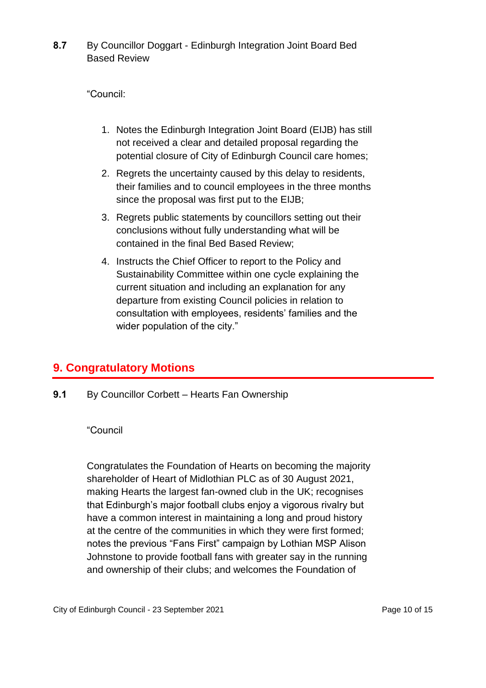**8.7** By Councillor Doggart - Edinburgh Integration Joint Board Bed Based Review

"Council:

- 1. Notes the Edinburgh Integration Joint Board (EIJB) has still not received a clear and detailed proposal regarding the potential closure of City of Edinburgh Council care homes;
- 2. Regrets the uncertainty caused by this delay to residents, their families and to council employees in the three months since the proposal was first put to the EIJB;
- 3. Regrets public statements by councillors setting out their conclusions without fully understanding what will be contained in the final Bed Based Review;
- 4. Instructs the Chief Officer to report to the Policy and Sustainability Committee within one cycle explaining the current situation and including an explanation for any departure from existing Council policies in relation to consultation with employees, residents' families and the wider population of the city."

## **9. Congratulatory Motions**

**9.1** By Councillor Corbett – Hearts Fan Ownership

#### "Council

Congratulates the Foundation of Hearts on becoming the majority shareholder of Heart of Midlothian PLC as of 30 August 2021, making Hearts the largest fan-owned club in the UK; recognises that Edinburgh's major football clubs enjoy a vigorous rivalry but have a common interest in maintaining a long and proud history at the centre of the communities in which they were first formed; notes the previous "Fans First" campaign by Lothian MSP Alison Johnstone to provide football fans with greater say in the running and ownership of their clubs; and welcomes the Foundation of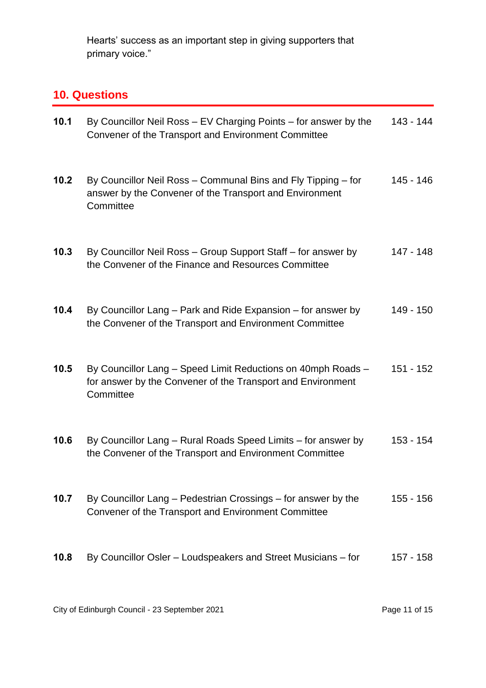Hearts' success as an important step in giving supporters that primary voice."

## **10. Questions**

| 10.1 | By Councillor Neil Ross - EV Charging Points - for answer by the<br>Convener of the Transport and Environment Committee                  | 143 - 144   |
|------|------------------------------------------------------------------------------------------------------------------------------------------|-------------|
| 10.2 | By Councillor Neil Ross - Communal Bins and Fly Tipping - for<br>answer by the Convener of the Transport and Environment<br>Committee    | 145 - 146   |
| 10.3 | By Councillor Neil Ross - Group Support Staff - for answer by<br>the Convener of the Finance and Resources Committee                     | 147 - 148   |
| 10.4 | By Councillor Lang – Park and Ride Expansion – for answer by<br>the Convener of the Transport and Environment Committee                  | 149 - 150   |
| 10.5 | By Councillor Lang - Speed Limit Reductions on 40mph Roads -<br>for answer by the Convener of the Transport and Environment<br>Committee | $151 - 152$ |
| 10.6 | By Councillor Lang – Rural Roads Speed Limits – for answer by<br>the Convener of the Transport and Environment Committee                 | 153 - 154   |
| 10.7 | By Councillor Lang – Pedestrian Crossings – for answer by the<br>Convener of the Transport and Environment Committee                     | $155 - 156$ |
| 10.8 | By Councillor Osler – Loudspeakers and Street Musicians – for                                                                            | 157 - 158   |

City of Edinburgh Council - 23 September 2021 **Page 11 of 15** Page 11 of 15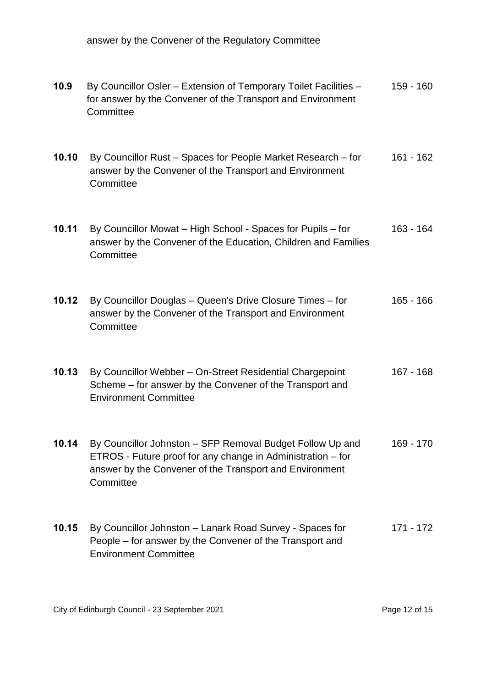answer by the Convener of the Regulatory Committee

| 10.9  | By Councillor Osler - Extension of Temporary Toilet Facilities -<br>for answer by the Convener of the Transport and Environment<br>Committee                                                     | 159 - 160   |
|-------|--------------------------------------------------------------------------------------------------------------------------------------------------------------------------------------------------|-------------|
| 10.10 | By Councillor Rust - Spaces for People Market Research - for<br>answer by the Convener of the Transport and Environment<br>Committee                                                             | 161 - 162   |
| 10.11 | By Councillor Mowat - High School - Spaces for Pupils - for<br>answer by the Convener of the Education, Children and Families<br>Committee                                                       | 163 - 164   |
| 10.12 | By Councillor Douglas - Queen's Drive Closure Times - for<br>answer by the Convener of the Transport and Environment<br>Committee                                                                | $165 - 166$ |
| 10.13 | By Councillor Webber - On-Street Residential Chargepoint<br>Scheme – for answer by the Convener of the Transport and<br><b>Environment Committee</b>                                             | $167 - 168$ |
| 10.14 | By Councillor Johnston - SFP Removal Budget Follow Up and<br>ETROS - Future proof for any change in Administration – for<br>answer by the Convener of the Transport and Environment<br>Committee | 169 - 170   |
| 10.15 | By Councillor Johnston - Lanark Road Survey - Spaces for<br>People – for answer by the Convener of the Transport and<br><b>Environment Committee</b>                                             | 171 - 172   |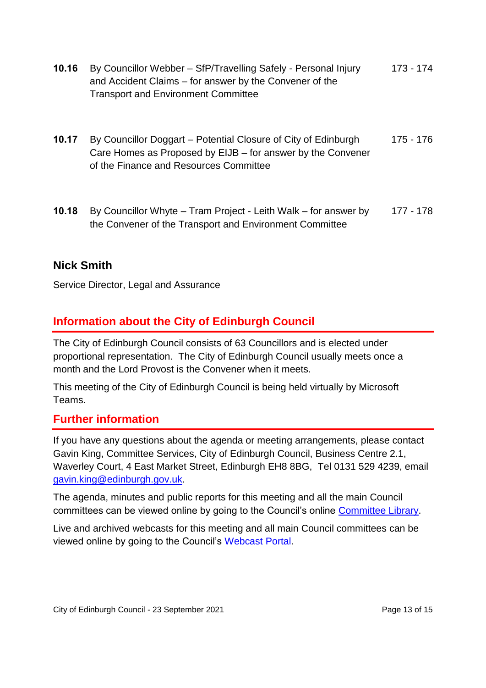- **10.16** By Councillor Webber SfP/Travelling Safely Personal Injury and Accident Claims – for answer by the Convener of the Transport and Environment Committee 173 - 174
- **10.17** By Councillor Doggart Potential Closure of City of Edinburgh Care Homes as Proposed by EIJB – for answer by the Convener of the Finance and Resources Committee 175 - 176
- **10.18** By Councillor Whyte Tram Project Leith Walk for answer by the Convener of the Transport and Environment Committee 177 - 178

## **Nick Smith**

Service Director, Legal and Assurance

## **Information about the City of Edinburgh Council**

The City of Edinburgh Council consists of 63 Councillors and is elected under proportional representation. The City of Edinburgh Council usually meets once a month and the Lord Provost is the Convener when it meets.

This meeting of the City of Edinburgh Council is being held virtually by Microsoft Teams.

## **Further information**

If you have any questions about the agenda or meeting arrangements, please contact Gavin King, Committee Services, City of Edinburgh Council, Business Centre 2.1, Waverley Court, 4 East Market Street, Edinburgh EH8 8BG, Tel 0131 529 4239, email [gavin.king@edinburgh.gov.uk.](mailto:gavin.king@edinburgh.gov.uk)

The agenda, minutes and public reports for this meeting and all the main Council committees can be viewed online by going to the Council's online [Committee Library.](https://democracy.edinburgh.gov.uk/ieDocHome.aspx?bcr=1)

Live and archived webcasts for this meeting and all main Council committees can be viewed online by going to the Council's [Webcast Portal.](https://edinburgh.public-i.tv/core/portal/home)